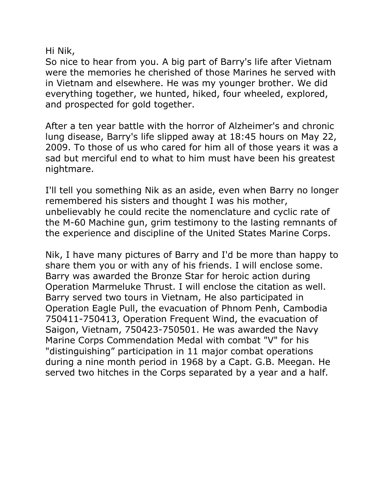Hi Nik,

So nice to hear from you. A big part of Barry's life after Vietnam were the memories he cherished of those Marines he served with in Vietnam and elsewhere. He was my younger brother. We did everything together, we hunted, hiked, four wheeled, explored, and prospected for gold together.

After a ten year battle with the horror of Alzheimer's and chronic lung disease, Barry's life slipped away at 18:45 hours on May 22, 2009. To those of us who cared for him all of those years it was a sad but merciful end to what to him must have been his greatest nightmare.

I'll tell you something Nik as an aside, even when Barry no longer remembered his sisters and thought I was his mother, unbelievably he could recite the nomenclature and cyclic rate of the M-60 Machine gun, grim testimony to the lasting remnants of the experience and discipline of the United States Marine Corps.

Nik, I have many pictures of Barry and I'd be more than happy to share them you or with any of his friends. I will enclose some. Barry was awarded the Bronze Star for heroic action during Operation Marmeluke Thrust. I will enclose the citation as well. Barry served two tours in Vietnam, He also participated in Operation Eagle Pull, the evacuation of Phnom Penh, Cambodia 750411-750413, Operation Frequent Wind, the evacuation of Saigon, Vietnam, 750423-750501. He was awarded the Navy Marine Corps Commendation Medal with combat "V" for his "distinguishing" participation in 11 major combat operations during a nine month period in 1968 by a Capt. G.B. Meegan. He served two hitches in the Corps separated by a year and a half.